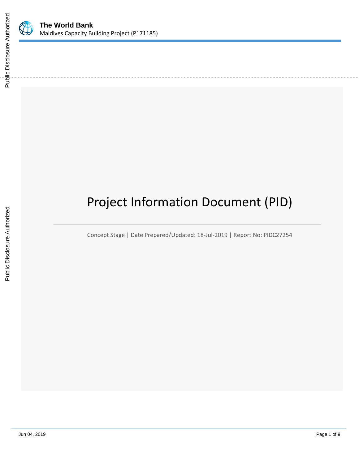

# Project Information Document (PID)

Concept Stage | Date Prepared/Updated: 18-Jul-2019 | Report No: PIDC27254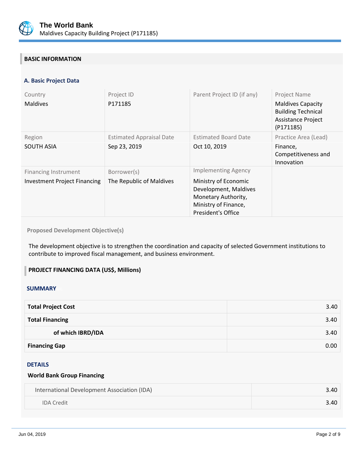

## **BASIC INFORMATION**

## **A. Basic Project Data**

| Country<br><b>Maldives</b>                                         | Project ID<br>P171185                           | Parent Project ID (if any)                                                                                                                       | Project Name<br><b>Maldives Capacity</b><br><b>Building Technical</b><br><b>Assistance Project</b><br>(P171185) |
|--------------------------------------------------------------------|-------------------------------------------------|--------------------------------------------------------------------------------------------------------------------------------------------------|-----------------------------------------------------------------------------------------------------------------|
| Region<br><b>SOUTH ASIA</b>                                        | <b>Estimated Appraisal Date</b><br>Sep 23, 2019 | <b>Estimated Board Date</b><br>Oct 10, 2019                                                                                                      | Practice Area (Lead)<br>Finance,<br>Competitiveness and<br>Innovation                                           |
| <b>Financing Instrument</b><br><b>Investment Project Financing</b> | Borrower(s)<br>The Republic of Maldives         | <b>Implementing Agency</b><br>Ministry of Economic<br>Development, Maldives<br>Monetary Authority,<br>Ministry of Finance,<br>President's Office |                                                                                                                 |

**Proposed Development Objective(s)** 

The development objective is to strengthen the coordination and capacity of selected Government institutions to contribute to improved fiscal management, and business environment.

#### **PROJECT FINANCING DATA (US\$, Millions)**

#### **SUMMARY**

| <b>Total Project Cost</b> | 3.40 |
|---------------------------|------|
| <b>Total Financing</b>    | 3.40 |
| of which IBRD/IDA         | 3.40 |
| <b>Financing Gap</b>      | 0.00 |

## DETAILS

#### **World Bank Group Financing**

| International Development Association (IDA) | 3.40 |
|---------------------------------------------|------|
| <b>IDA</b> Credit                           | 3.40 |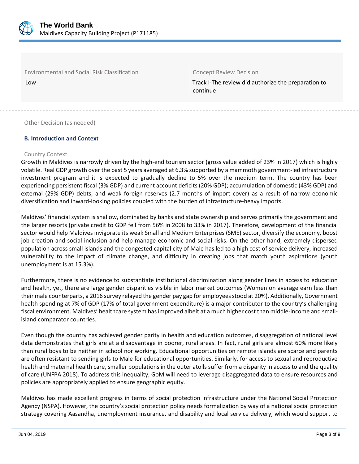

Environmental and Social Risk Classification Concept Review Decision

Low Low Track I-The review did authorize the preparation to  $\vert$  Track I-The review did authorize the preparation to continue

Other Decision (as needed)

## **B. Introduction and Context**

#### Country Context

Growth in Maldives is narrowly driven by the high-end tourism sector (gross value added of 23% in 2017) which is highly volatile. Real GDP growth over the past 5 years averaged at 6.3% supported by a mammoth government-led infrastructure investment program and it is expected to gradually decline to 5% over the medium term. The country has been experiencing persistent fiscal (3% GDP) and current account deficits (20% GDP); accumulation of domestic (43% GDP) and external (29% GDP) debts; and weak foreign reserves (2.7 months of import cover) as a result of narrow economic diversification and inward-looking policies coupled with the burden of infrastructure-heavy imports.

Maldives' financial system is shallow, dominated by banks and state ownership and serves primarily the government and the larger resorts (private credit to GDP fell from 56% in 2008 to 33% in 2017). Therefore, development of the financial sector would help Maldives invigorate its weak Small and Medium Enterprises (SME) sector, diversify the economy, boost job creation and social inclusion and help manage economic and social risks. On the other hand, extremely dispersed population across small islands and the congested capital city of Male has led to a high cost of service delivery, increased vulnerability to the impact of climate change, and difficulty in creating jobs that match youth aspirations (youth unemployment is at 15.3%).

Furthermore, there is no evidence to substantiate institutional discrimination along gender lines in access to education and health, yet, there are large gender disparities visible in labor market outcomes (Women on average earn less than their male counterparts, a 2016 survey relayed the gender pay gap for employees stood at 20%). Additionally, Government health spending at 7% of GDP (17% of total government expenditure) is a major contributor to the country's challenging fiscal environment. Maldives' healthcare system has improved albeit at a much higher cost than middle-income and smallisland comparator countries.

Even though the country has achieved gender parity in health and education outcomes, disaggregation of national level data demonstrates that girls are at a disadvantage in poorer, rural areas. In fact, rural girls are almost 60% more likely than rural boys to be neither in school nor working. Educational opportunities on remote islands are scarce and parents are often resistant to sending girls to Male for educational opportunities. Similarly, for access to sexual and reproductive health and maternal health care, smaller populations in the outer atolls suffer from a disparity in access to and the quality of care (UNFPA 2018). To address this inequality, GoM will need to leverage disaggregated data to ensure resources and policies are appropriately applied to ensure geographic equity.

Maldives has made excellent progress in terms of social protection infrastructure under the National Social Protection Agency (NSPA). However, the country's social protection policy needs formalization by way of a national social protection strategy covering Aasandha, unemployment insurance, and disability and local service delivery, which would support to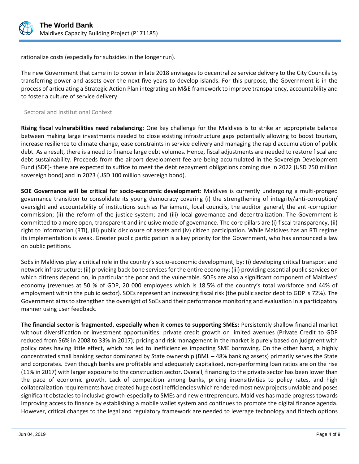

rationalize costs (especially for subsidies in the longer run).

The new Government that came in to power in late 2018 envisages to decentralize service delivery to the City Councils by transferring power and assets over the next five years to develop islands. For this purpose, the Government is in the process of articulating a Strategic Action Plan integrating an M&E framework to improve transparency, accountability and to foster a culture of service delivery.

#### Sectoral and Institutional Context

**Rising fiscal vulnerabilities need rebalancing:** One key challenge for the Maldives is to strike an appropriate balance between making large investments needed to close existing infrastructure gaps potentially allowing to boost tourism, increase resilience to climate change, ease constraints in service delivery and managing the rapid accumulation of public debt. As a result, there is a need to finance large debt volumes. Hence, fiscal adjustments are needed to restore fiscal and debt sustainability. Proceeds from the airport development fee are being accumulated in the Sovereign Development Fund (SDF)- these are expected to suffice to meet the debt repayment obligations coming due in 2022 (USD 250 million sovereign bond) and in 2023 (USD 100 million sovereign bond).

**SOE Governance will be critical for socio-economic development**: Maldives is currently undergoing a multi-pronged governance transition to consolidate its young democracy covering (i) the strengthening of integrity/anti-corruption/ oversight and accountability of institutions such as Parliament, local councils, the auditor general, the anti-corruption commission; (ii) the reform of the justice system; and (iii) local governance and decentralization. The Government is committed to a more open, transparent and inclusive mode of governance. The core pillars are (i) fiscal transparency, (ii) right to information (RTI), (iii) public disclosure of assets and (iv) citizen participation. While Maldives has an RTI regime its implementation is weak. Greater public participation is a key priority for the Government, who has announced a law on public petitions.

SoEs in Maldives play a critical role in the country's socio-economic development, by: (i) developing critical transport and network infrastructure; (ii) providing back bone services for the entire economy; (iii) providing essential public services on which citizens depend on, in particular the poor and the vulnerable. SOEs are also a significant component of Maldives' economy (revenues at 50 % of GDP, 20 000 employees which is 18.5% of the country's total workforce and 44% of employment within the public sector). SOEs represent an increasing fiscal risk (the public sector debt to GDP is 72%). The Government aims to strengthen the oversight of SoEs and their performance monitoring and evaluation in a participatory manner using user feedback.

**The financial sector is fragmented, especially when it comes to supporting SMEs:** Persistently shallow financial market without diversification or investment opportunities; private credit growth on limited avenues (Private Credit to GDP reduced from 56% in 2008 to 33% in 2017); pricing and risk management in the market is purely based on judgment with policy rates having little effect, which has led to inefficiencies impacting SME borrowing. On the other hand, a highly concentrated small banking sector dominated by State ownership (BML – 48% banking assets) primarily serves the State and corporates. Even though banks are profitable and adequately capitalized, non-performing loan ratios are on the rise (11% in 2017) with larger exposure to the construction sector. Overall, financing to the private sector has been lower than the pace of economic growth. Lack of competition among banks, pricing insensitivities to policy rates, and high collateralization requirements have created huge cost inefficiencies which rendered most new projects unviable and poses significant obstacles to inclusive growth-especially to SMEs and new entrepreneurs. Maldives has made progress towards improving access to finance by establishing a mobile wallet system and continues to promote the digital finance agenda. However, critical changes to the legal and regulatory framework are needed to leverage technology and fintech options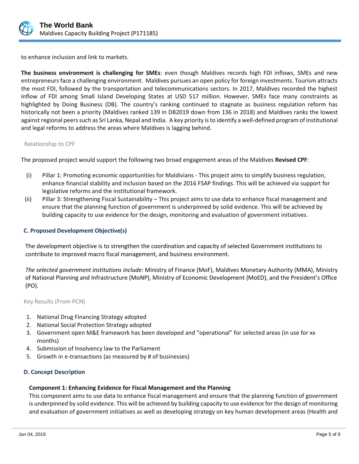

to enhance inclusion and link to markets.

**The business environment is challenging for SMEs**: even though Maldives records high FDI inflows, SMEs and new entrepreneursface a challenging environment. Maldives pursues an open policy for foreign investments. Tourism attracts the most FDI, followed by the transportation and telecommunications sectors. In 2017, Maldives recorded the highest inflow of FDI among Small Island Developing States at USD 517 million. However, SMEs face many constraints as highlighted by Doing Business (DB). The country's ranking continued to stagnate as business regulation reform has historically not been a priority (Maldives ranked 139 in DB2019 down from 136 in 2018) and Maldives ranks the lowest against regional peers such as Sri Lanka, Nepal and India. A key priority is to identify a well-defined program of institutional and legal reforms to address the areas where Maldives is lagging behind.

#### Relationship to CPF

The proposed project would support the following two broad engagement areas of the Maldives **Revised CPF**:

- (i) Pillar 1: Promoting economic opportunities for Maldivians This project aims to simplify business regulation, enhance financial stability and inclusion based on the 2016 FSAP findings. This will be achieved via support for legislative reforms and the institutional framework.
- (ii) Pillar 3: Strengthening Fiscal Sustainability This project aims to use data to enhance fiscal management and ensure that the planning function of government is underpinned by solid evidence. This will be achieved by building capacity to use evidence for the design, monitoring and evaluation of government initiatives.

#### **C. Proposed Development Objective(s)**

The development objective is to strengthen the coordination and capacity of selected Government institutions to contribute to improved macro fiscal management, and business environment.

*The selected government institutions include*: Ministry of Finance (MoF), Maldives Monetary Authority (MMA), Ministry of National Planning and Infrastructure (MoNP), Ministry of Economic Development (MoED), and the President's Office (PO).

Key Results (From PCN)

- 1. National Drug Financing Strategy adopted
- 2. National Social Protection Strategy adopted
- 3. Government open M&E framework has been developed and "operational" for selected areas (in use for xx months)
- 4. Submission of Insolvency law to the Parliament
- 5. Growth in e-transactions (as measured by # of businesses)

#### **D. Concept Description**

#### **Component 1: Enhancing Evidence for Fiscal Management and the Planning**

This component aims to use data to enhance fiscal management and ensure that the planning function of government is underpinned by solid evidence. This will be achieved by building capacity to use evidence for the design of monitoring and evaluation of government initiatives as well as developing strategy on key human development areas (Health and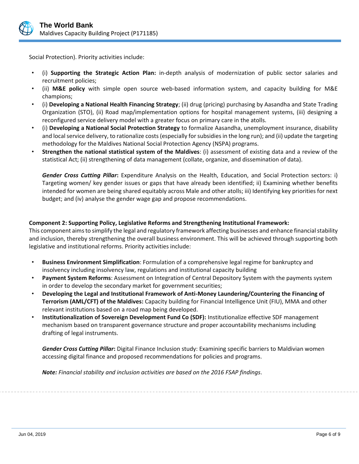

Social Protection). Priority activities include:

- (i) **Supporting the Strategic Action Plan:** in-depth analysis of modernization of public sector salaries and recruitment policies;
- (ii) **M&E policy** with simple open source web-based information system, and capacity building for M&E champions;
- (i) **Developing a National Health Financing Strategy**; (ii) drug (pricing) purchasing by Aasandha and State Trading Organization (STO), (ii) Road map/implementation options for hospital management systems, (iii) designing a reconfigured service delivery model with a greater focus on primary care in the atolls.
- (i) **Developing a National Social Protection Strategy** to formalize Aasandha, unemployment insurance, disability and local service delivery, to rationalize costs (especially for subsidies in the long run); and (ii) update the targeting methodology for the Maldives National Social Protection Agency (NSPA) programs.
- **Strengthen the national statistical system of the Maldives**: (i) assessment of existing data and a review of the statistical Act; (ii) strengthening of data management (collate, organize, and dissemination of data).

*Gender Cross Cutting Pillar***:** Expenditure Analysis on the Health, Education, and Social Protection sectors: i) Targeting women/ key gender issues or gaps that have already been identified; ii) Examining whether benefits intended for women are being shared equitably across Male and other atolls; iii) Identifying key priorities for next budget; and (iv) analyse the gender wage gap and propose recommendations.

## **Component 2: Supporting Policy, Legislative Reforms and Strengthening Institutional Framework:**

This component aims to simplify the legal and regulatory framework affecting businesses and enhance financial stability and inclusion, thereby strengthening the overall business environment. This will be achieved through supporting both legislative and institutional reforms. Priority activities include:

- **Business Environment Simplification**: Formulation of a comprehensive legal regime for bankruptcy and insolvency including insolvency law, regulations and institutional capacity building
- **Payment System Reforms**: Assessment on Integration of Central Depository System with the payments system in order to develop the secondary market for government securities;
- **Developing the Legal and Institutional Framework of Anti-Money Laundering/Countering the Financing of Terrorism (AML/CFT) of the Maldives:** Capacity building for Financial Intelligence Unit (FIU), MMA and other relevant institutions based on a road map being developed.
- **Institutionalization of Sovereign Development Fund Co (SDF):** Institutionalize effective SDF management mechanism based on transparent governance structure and proper accountability mechanisms including drafting of legal instruments.

*Gender Cross Cutting Pillar***:** Digital Finance Inclusion study: Examining specific barriers to Maldivian women accessing digital finance and proposed recommendations for policies and programs.

*Note: Financial stability and inclusion activities are based on the 2016 FSAP findings.*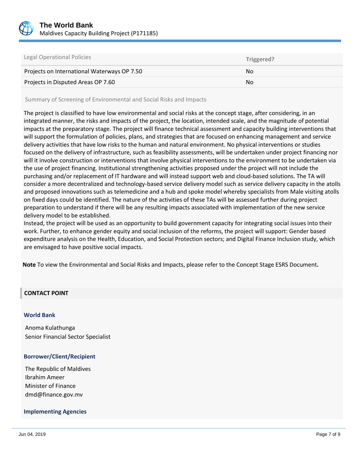

| Legal Operational Policies                  | Triggered? |
|---------------------------------------------|------------|
| Projects on International Waterways OP 7.50 | No.        |
| Projects in Disputed Areas OP 7.60          | No.        |

Summary of Screening of Environmental and Social Risks and Impacts

The project is classified to have low environmental and social risks at the concept stage, after considering, in an integrated manner, the risks and impacts of the project, the location, intended scale, and the magnitude of potential impacts at the preparatory stage. The project will finance technical assessment and capacity building interventions that will support the formulation of policies, plans, and strategies that are focused on enhancing management and service delivery activities that have low risks to the human and natural environment. No physical interventions or studies focused on the delivery of infrastructure, such as feasibility assessments, will be undertaken under project financing nor will it involve construction or interventions that involve physical interventions to the environment to be undertaken via the use of project financing. Institutional strengthening activities proposed under the project will not include the purchasing and/or replacement of IT hardware and will instead support web and cloud-based solutions. The TA will consider a more decentralized and technology-based service delivery model such as service delivery capacity in the atolls and proposed innovations such as telemedicine and a hub and spoke model whereby specialists from Male visiting atolls on fixed days could be identified. The nature of the activities of these TAs will be assessed further during project preparation to understand if there will be any resulting impacts associated with implementation of the new service delivery model to be established.

Instead, the project will be used as an opportunity to build government capacity for integrating social issues into their work. Further, to enhance gender equity and social inclusion of the reforms, the project will support: Gender based expenditure analysis on the Health, Education, and Social Protection sectors; and Digital Finance Inclusion study, which are envisaged to have positive social impacts.

**Note** To view the Environmental and Social Risks and Impacts, please refer to the Concept Stage ESRS Document**.**

#### **CONTACT POINT**

#### **World Bank**

Anoma Kulathunga Senior Financial Sector Specialist

#### **Borrower/Client/Recipient**

The Republic of Maldives Ibrahim Ameer Minister of Finance dmd@finance.gov.mv

#### **Implementing Agencies**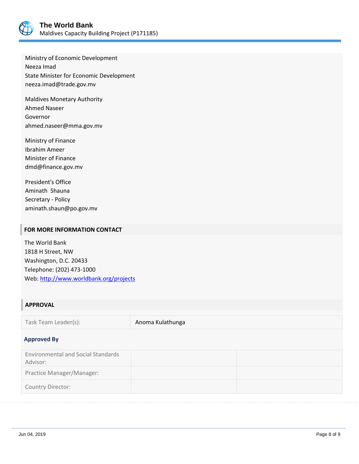

Ministry of Economic Development Neeza Imad State Minister for Economic Development neeza.imad@trade.gov.mv

Maldives Monetary Authority Ahmed Naseer Governor ahmed.naseer@mma.gov.mv

Ministry of Finance Ibrahim Ameer Minister of Finance dmd@finance.gov.mv

President's Office Aminath Shauna Secretary - Policy aminath.shaun@po.gov.mv

## **FOR MORE INFORMATION CONTACT**

The World Bank 1818 H Street, NW Washington, D.C. 20433 Telephone: (202) 473-1000 Web:<http://www.worldbank.org/projects>

## **APPROVAL**

Task Team Leader(s): Anoma Kulathunga

#### **Approved By**

| <b>Environmental and Social Standards</b> |  |
|-------------------------------------------|--|
| Advisor:                                  |  |
| Practice Manager/Manager:                 |  |
| <b>Country Director:</b>                  |  |
|                                           |  |